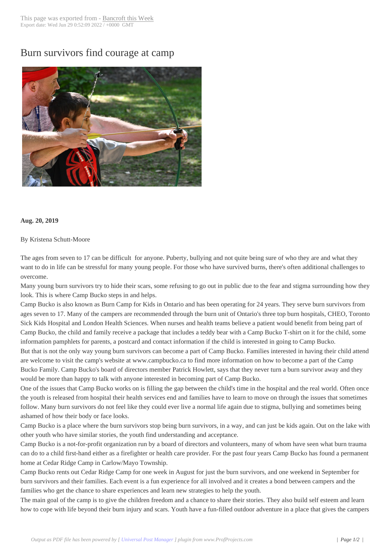## Burn survivors fin[d courage at c](http://www.bancroftthisweek.com/?p=9972)amp



## **Aug. 20, 2019**

## By Kristena Schutt-Moore

The ages from seven to 17 can be difficult for anyone. Puberty, bullying and not quite being sure of who they are and what they want to do in life can be stressful for many young people. For those who have survived burns, there's often additional challenges to overcome.

Many young burn survivors try to hide their scars, some refusing to go out in public due to the fear and stigma surrounding how they look. This is where Camp Bucko steps in and helps.

Camp Bucko is also known as Burn Camp for Kids in Ontario and has been operating for 24 years. They serve burn survivors from ages seven to 17. Many of the campers are recommended through the burn unit of Ontario's three top burn hospitals, CHEO, Toronto Sick Kids Hospital and London Health Sciences. When nurses and health teams believe a patient would benefit from being part of Camp Bucko, the child and family receive a package that includes a teddy bear with a Camp Bucko T-shirt on it for the child, some information pamphlets for parents, a postcard and contact information if the child is interested in going to Camp Bucko. But that is not the only way young burn survivors can become a part of Camp Bucko. Families interested in having their child attend are welcome to visit the camp's website at www.campbucko.ca to find more information on how to become a part of the Camp Bucko Family. Camp Bucko's board of directors member Patrick Howlett, says that they never turn a burn survivor away and they would be more than happy to talk with anyone interested in becoming part of Camp Bucko.

One of the issues that Camp Bucko works on is filling the gap between the child's time in the hospital and the real world. Often once the youth is released from hospital their health services end and families have to learn to move on through the issues that sometimes follow. Many burn survivors do not feel like they could ever live a normal life again due to stigma, bullying and sometimes being ashamed of how their body or face looks.

Camp Bucko is a place where the burn survivors stop being burn survivors, in a way, and can just be kids again. Out on the lake with other youth who have similar stories, the youth find understanding and acceptance.

Camp Bucko is a not-for-profit organization run by a board of directors and volunteers, many of whom have seen what burn trauma can do to a child first-hand either as a firefighter or health care provider. For the past four years Camp Bucko has found a permanent home at Cedar Ridge Camp in Carlow/Mayo Township.

Camp Bucko rents out Cedar Ridge Camp for one week in August for just the burn survivors, and one weekend in September for burn survivors and their families. Each event is a fun experience for all involved and it creates a bond between campers and the families who get the chance to share experiences and learn new strategies to help the youth.

The main goal of the camp is to give the children freedom and a chance to share their stories. They also build self esteem and learn how to cope with life beyond their burn injury and scars. Youth have a fun-filled outdoor adventure in a place that gives the campers